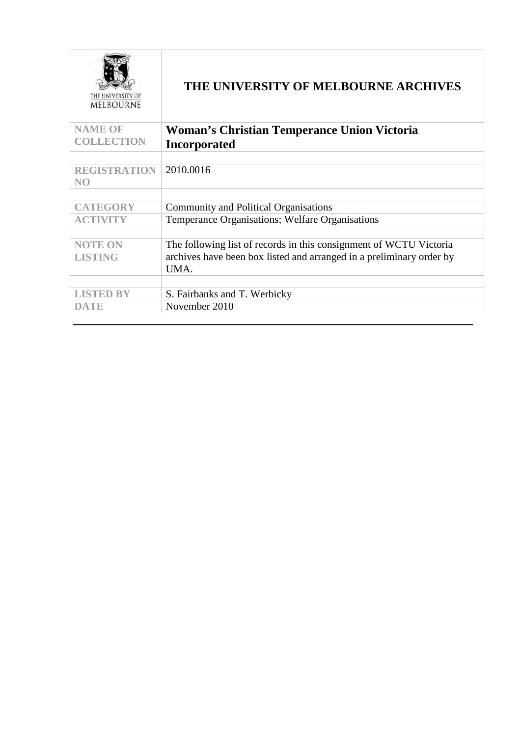| THE UNIVERSITY OF<br>MELBOURNE | THE UNIVERSITY OF MELBOURNE ARCHIVES                                 |
|--------------------------------|----------------------------------------------------------------------|
| <b>NAME OF</b>                 | <b>Woman's Christian Temperance Union Victoria</b>                   |
| <b>COLLECTION</b>              | <b>Incorporated</b>                                                  |
|                                |                                                                      |
| <b>REGISTRATION</b>            | 2010.0016                                                            |
| NO <sub>1</sub>                |                                                                      |
|                                |                                                                      |
| <b>CATEGORY</b>                | <b>Community and Political Organisations</b>                         |
| <b>ACTIVITY</b>                | Temperance Organisations; Welfare Organisations                      |
|                                |                                                                      |
| <b>NOTE ON</b>                 | The following list of records in this consignment of WCTU Victoria   |
| <b>LISTING</b>                 | archives have been box listed and arranged in a preliminary order by |
|                                | UMA.                                                                 |
|                                |                                                                      |
| <b>LISTED BY</b>               | S. Fairbanks and T. Werbicky                                         |
| DATE                           | November 2010                                                        |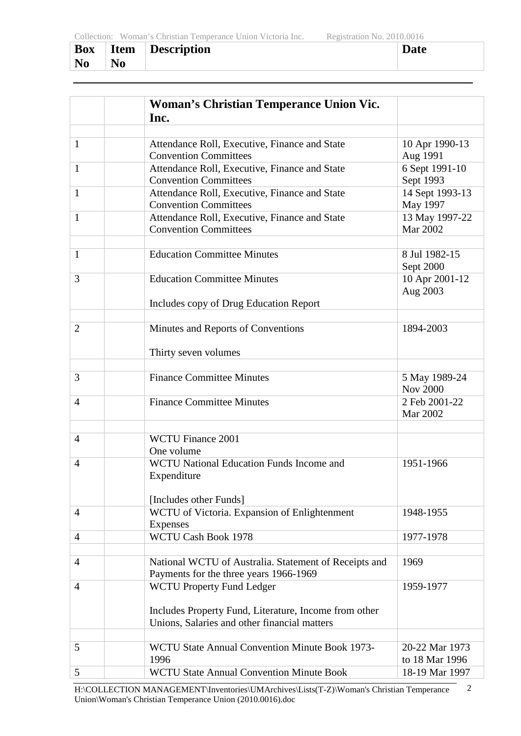| <b>Box</b> | <b>Item</b>    | <b>Description</b> | Jate |
|------------|----------------|--------------------|------|
| <b>No</b>  | N <sub>0</sub> |                    |      |

|                | <b>Woman's Christian Temperance Union Vic.</b>                                                        |                                   |
|----------------|-------------------------------------------------------------------------------------------------------|-----------------------------------|
|                | Inc.                                                                                                  |                                   |
|                |                                                                                                       |                                   |
| $\mathbf{1}$   | Attendance Roll, Executive, Finance and State<br><b>Convention Committees</b>                         | 10 Apr 1990-13<br>Aug 1991        |
| $\mathbf{1}$   | Attendance Roll, Executive, Finance and State<br><b>Convention Committees</b>                         | 6 Sept 1991-10<br>Sept 1993       |
| $\mathbf{1}$   | Attendance Roll, Executive, Finance and State<br><b>Convention Committees</b>                         | 14 Sept 1993-13<br>May 1997       |
| 1              | Attendance Roll, Executive, Finance and State<br><b>Convention Committees</b>                         | 13 May 1997-22<br><b>Mar 2002</b> |
| 1              | <b>Education Committee Minutes</b>                                                                    | 8 Jul 1982-15<br>Sept 2000        |
| 3              | <b>Education Committee Minutes</b>                                                                    | 10 Apr 2001-12<br>Aug 2003        |
|                | Includes copy of Drug Education Report                                                                |                                   |
| $\overline{2}$ | Minutes and Reports of Conventions                                                                    | 1894-2003                         |
|                | Thirty seven volumes                                                                                  |                                   |
| 3              | <b>Finance Committee Minutes</b>                                                                      | 5 May 1989-24<br><b>Nov 2000</b>  |
| $\overline{4}$ | <b>Finance Committee Minutes</b>                                                                      | 2 Feb 2001-22<br><b>Mar 2002</b>  |
|                |                                                                                                       |                                   |
| $\overline{4}$ | <b>WCTU Finance 2001</b><br>One volume                                                                |                                   |
| $\overline{4}$ | <b>WCTU National Education Funds Income and</b><br>Expenditure                                        | 1951-1966                         |
|                | [Includes other Funds]                                                                                |                                   |
| $\overline{4}$ | WCTU of Victoria. Expansion of Enlightenment<br><b>Expenses</b>                                       | 1948-1955                         |
| $\overline{4}$ | WCTU Cash Book 1978                                                                                   | 1977-1978                         |
| $\overline{4}$ | National WCTU of Australia. Statement of Receipts and<br>Payments for the three years 1966-1969       | 1969                              |
| 4              | <b>WCTU Property Fund Ledger</b>                                                                      | 1959-1977                         |
|                | Includes Property Fund, Literature, Income from other<br>Unions, Salaries and other financial matters |                                   |
| 5              | WCTU State Annual Convention Minute Book 1973-<br>1996                                                | 20-22 Mar 1973<br>to 18 Mar 1996  |
| 5              | <b>WCTU State Annual Convention Minute Book</b>                                                       | 18-19 Mar 1997                    |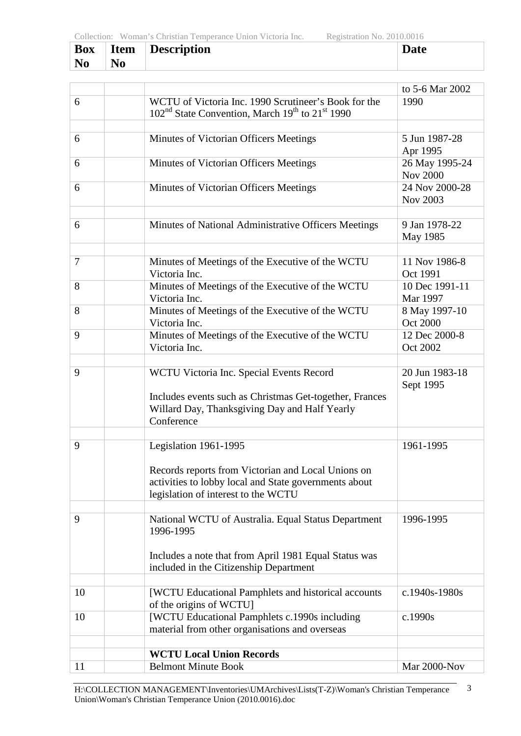| <b>Box</b>     | <b>Item</b>    | Description | Date |
|----------------|----------------|-------------|------|
| N <sub>0</sub> | N <sub>0</sub> |             |      |

|        |                                                                                     | to 5-6 Mar 2002 |
|--------|-------------------------------------------------------------------------------------|-----------------|
| 6      | WCTU of Victoria Inc. 1990 Scrutineer's Book for the                                | 1990            |
|        | 102 <sup>nd</sup> State Convention, March 19 <sup>th</sup> to 21 <sup>st</sup> 1990 |                 |
|        |                                                                                     |                 |
| 6      | Minutes of Victorian Officers Meetings                                              | 5 Jun 1987-28   |
|        |                                                                                     | Apr 1995        |
| 6      | Minutes of Victorian Officers Meetings                                              | 26 May 1995-24  |
|        |                                                                                     | <b>Nov 2000</b> |
| 6      | Minutes of Victorian Officers Meetings                                              | 24 Nov 2000-28  |
|        |                                                                                     | Nov 2003        |
|        |                                                                                     |                 |
| 6      | Minutes of National Administrative Officers Meetings                                | 9 Jan 1978-22   |
|        |                                                                                     | May 1985        |
|        |                                                                                     |                 |
| $\tau$ | Minutes of Meetings of the Executive of the WCTU                                    | 11 Nov 1986-8   |
|        | Victoria Inc.                                                                       | Oct 1991        |
| 8      | Minutes of Meetings of the Executive of the WCTU                                    | 10 Dec 1991-11  |
|        | Victoria Inc.                                                                       | Mar 1997        |
| 8      | Minutes of Meetings of the Executive of the WCTU                                    | 8 May 1997-10   |
|        | Victoria Inc.                                                                       | <b>Oct 2000</b> |
| 9      | Minutes of Meetings of the Executive of the WCTU                                    | 12 Dec 2000-8   |
|        | Victoria Inc.                                                                       | Oct 2002        |
|        |                                                                                     |                 |
| 9      | WCTU Victoria Inc. Special Events Record                                            | 20 Jun 1983-18  |
|        |                                                                                     | Sept 1995       |
|        | Includes events such as Christmas Get-together, Frances                             |                 |
|        | Willard Day, Thanksgiving Day and Half Yearly                                       |                 |
|        | Conference                                                                          |                 |
| 9      |                                                                                     |                 |
|        | Legislation 1961-1995                                                               | 1961-1995       |
|        | Records reports from Victorian and Local Unions on                                  |                 |
|        | activities to lobby local and State governments about                               |                 |
|        | legislation of interest to the WCTU                                                 |                 |
|        |                                                                                     |                 |
| 9      | National WCTU of Australia. Equal Status Department                                 | 1996-1995       |
|        | 1996-1995                                                                           |                 |
|        |                                                                                     |                 |
|        | Includes a note that from April 1981 Equal Status was                               |                 |
|        | included in the Citizenship Department                                              |                 |
|        |                                                                                     |                 |
| 10     | [WCTU Educational Pamphlets and historical accounts                                 | $c.1940s-1980s$ |
|        | of the origins of WCTU]                                                             |                 |
| 10     | [WCTU Educational Pamphlets c.1990s including                                       | c.1990s         |
|        | material from other organisations and overseas                                      |                 |
|        |                                                                                     |                 |
|        | <b>WCTU Local Union Records</b>                                                     |                 |
| 11     | <b>Belmont Minute Book</b>                                                          | Mar 2000-Nov    |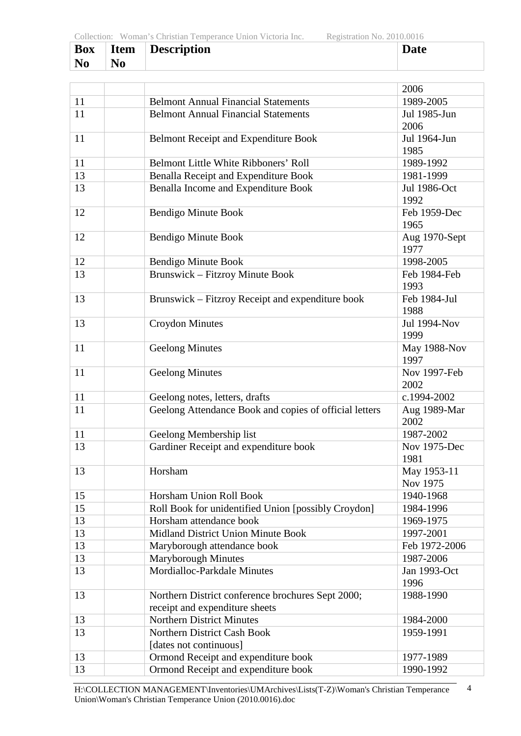| <b>Box</b> | <b>Item</b>    | Description | Date |
|------------|----------------|-------------|------|
| <b>No</b>  | N <sub>0</sub> |             |      |

|    |                                                        | 2006                |
|----|--------------------------------------------------------|---------------------|
| 11 | <b>Belmont Annual Financial Statements</b>             | 1989-2005           |
| 11 | <b>Belmont Annual Financial Statements</b>             | Jul 1985-Jun        |
|    |                                                        | 2006                |
| 11 | <b>Belmont Receipt and Expenditure Book</b>            | Jul 1964-Jun        |
|    |                                                        | 1985                |
| 11 | <b>Belmont Little White Ribboners' Roll</b>            | 1989-1992           |
| 13 | Benalla Receipt and Expenditure Book                   | 1981-1999           |
| 13 | Benalla Income and Expenditure Book                    | Jul 1986-Oct        |
|    |                                                        | 1992                |
| 12 | <b>Bendigo Minute Book</b>                             | Feb 1959-Dec        |
|    |                                                        | 1965                |
| 12 | <b>Bendigo Minute Book</b>                             | Aug 1970-Sept       |
|    |                                                        | 1977                |
| 12 | <b>Bendigo Minute Book</b>                             | 1998-2005           |
| 13 | <b>Brunswick – Fitzroy Minute Book</b>                 | Feb 1984-Feb        |
|    |                                                        | 1993                |
| 13 | Brunswick – Fitzroy Receipt and expenditure book       | Feb 1984-Jul        |
|    |                                                        | 1988                |
| 13 | <b>Croydon Minutes</b>                                 | <b>Jul 1994-Nov</b> |
|    |                                                        | 1999                |
| 11 | <b>Geelong Minutes</b>                                 | May 1988-Nov        |
|    |                                                        | 1997                |
| 11 | <b>Geelong Minutes</b>                                 | Nov 1997-Feb        |
|    |                                                        | 2002                |
| 11 | Geelong notes, letters, drafts                         | c.1994-2002         |
| 11 | Geelong Attendance Book and copies of official letters | Aug 1989-Mar        |
|    |                                                        | 2002                |
| 11 | Geelong Membership list                                | 1987-2002           |
| 13 | Gardiner Receipt and expenditure book                  | Nov 1975-Dec        |
|    |                                                        | 1981                |
| 13 | Horsham                                                | May 1953-11         |
|    |                                                        | Nov 1975            |
| 15 | Horsham Union Roll Book                                | 1940-1968           |
| 15 | Roll Book for unidentified Union [possibly Croydon]    | 1984-1996           |
| 13 | Horsham attendance book                                | 1969-1975           |
| 13 | Midland District Union Minute Book                     | 1997-2001           |
| 13 | Maryborough attendance book                            | Feb 1972-2006       |
| 13 | Maryborough Minutes                                    | 1987-2006           |
| 13 | Mordialloc-Parkdale Minutes                            | Jan 1993-Oct        |
|    |                                                        | 1996                |
| 13 | Northern District conference brochures Sept 2000;      | 1988-1990           |
|    | receipt and expenditure sheets                         |                     |
| 13 | <b>Northern District Minutes</b>                       | 1984-2000           |
| 13 | Northern District Cash Book                            | 1959-1991           |
|    | [dates not continuous]                                 |                     |
| 13 | Ormond Receipt and expenditure book                    | 1977-1989           |
| 13 | Ormond Receipt and expenditure book                    | 1990-1992           |
|    |                                                        |                     |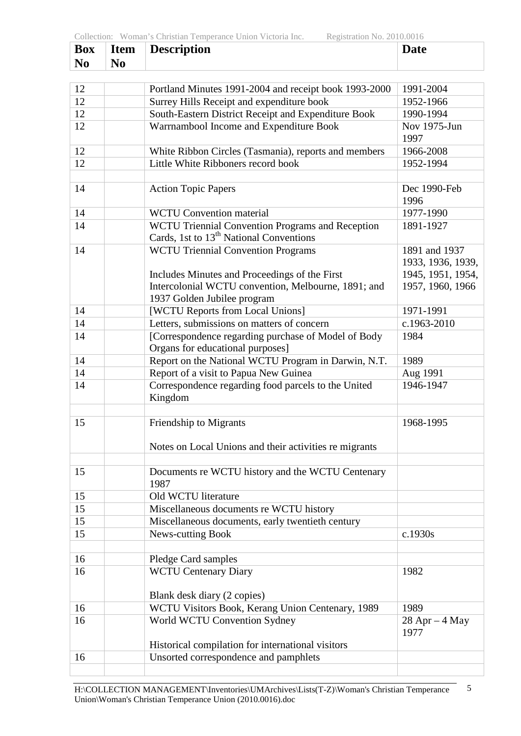| <b>Box</b> | <b>Item</b>    | Description | Date |
|------------|----------------|-------------|------|
| <b>No</b>  | N <sub>0</sub> |             |      |

| 12 | Portland Minutes 1991-2004 and receipt book 1993-2000                                      | 1991-2004                                               |
|----|--------------------------------------------------------------------------------------------|---------------------------------------------------------|
| 12 | Surrey Hills Receipt and expenditure book                                                  | 1952-1966                                               |
| 12 | South-Eastern District Receipt and Expenditure Book                                        | 1990-1994                                               |
| 12 | Warrnambool Income and Expenditure Book                                                    | Nov 1975-Jun<br>1997                                    |
| 12 | White Ribbon Circles (Tasmania), reports and members                                       | 1966-2008                                               |
| 12 | Little White Ribboners record book                                                         | 1952-1994                                               |
|    |                                                                                            |                                                         |
| 14 | <b>Action Topic Papers</b>                                                                 | Dec 1990-Feb<br>1996                                    |
| 14 | <b>WCTU Convention material</b>                                                            | 1977-1990                                               |
| 14 | WCTU Triennial Convention Programs and Reception                                           | 1891-1927                                               |
|    | Cards, 1st to 13 <sup>th</sup> National Conventions                                        |                                                         |
| 14 | <b>WCTU Triennial Convention Programs</b><br>Includes Minutes and Proceedings of the First | 1891 and 1937<br>1933, 1936, 1939,<br>1945, 1951, 1954, |
|    | Intercolonial WCTU convention, Melbourne, 1891; and<br>1937 Golden Jubilee program         | 1957, 1960, 1966                                        |
| 14 | [WCTU Reports from Local Unions]                                                           | 1971-1991                                               |
| 14 | Letters, submissions on matters of concern                                                 | c.1963-2010                                             |
| 14 | [Correspondence regarding purchase of Model of Body<br>Organs for educational purposes]    | 1984                                                    |
| 14 | Report on the National WCTU Program in Darwin, N.T.                                        | 1989                                                    |
| 14 | Report of a visit to Papua New Guinea                                                      | Aug 1991                                                |
| 14 | Correspondence regarding food parcels to the United<br>Kingdom                             | 1946-1947                                               |
| 15 | Friendship to Migrants                                                                     | 1968-1995                                               |
|    | Notes on Local Unions and their activities re migrants                                     |                                                         |
| 15 | Documents re WCTU history and the WCTU Centenary<br>1987                                   |                                                         |
| 15 | Old WCTU literature                                                                        |                                                         |
| 15 | Miscellaneous documents re WCTU history                                                    |                                                         |
| 15 | Miscellaneous documents, early twentieth century                                           |                                                         |
| 15 | News-cutting Book                                                                          | c.1930s                                                 |
| 16 | Pledge Card samples                                                                        |                                                         |
| 16 | <b>WCTU Centenary Diary</b>                                                                | 1982                                                    |
|    | Blank desk diary (2 copies)                                                                |                                                         |
| 16 | WCTU Visitors Book, Kerang Union Centenary, 1989                                           | 1989                                                    |
| 16 | World WCTU Convention Sydney                                                               | $28$ Apr $-4$ May<br>1977                               |
|    | Historical compilation for international visitors                                          |                                                         |
| 16 | Unsorted correspondence and pamphlets                                                      |                                                         |
|    |                                                                                            |                                                         |